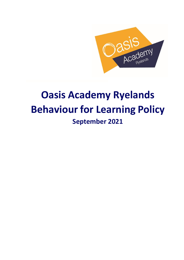

# **Oasis Academy Ryelands Behaviour for Learning Policy September 2021**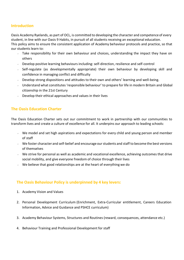# **Introduction**

Oasis Academy Ryelands, as part of OCL, is committed to developing the character and competence of every student, in line with our Oasis 9 Habits, in pursuit of all students receiving an exceptional education. This policy aims to ensure the consistent application of Academy behaviour protocols and practice, so that our students learn to:

- Take responsibility for their own behaviour and choices, understanding the impact they have on others
- Develop positive learning behaviours including: self-direction, resilience and self-control
- Self-regulate (as developmentally appropriate) their own behaviour by developing skill and confidence in managing conflict and difficulty
- Develop strong dispositions and attitudes to their own and others' learning and well-being.
- **Understand what constitutes 'responsible behaviour' to prepare for life in modern Britain and Global** citizenship in the 21st Century
- $\sim$  Develop their ethical approaches and values in their lives

# **The Oasis Education Charter**

The Oasis Education Charter sets out our commitment to work in partnership with our communities to transform lives and create a culture of excellence for all. It underpins our approach to leading schools:

- $\vee$  We model and set high aspirations and expectations for every child and young person and member of staff
- $\vee$  We foster character and self-belief and encourage our students and staff to become the best versions of themselves
- We strive for personal as well as academic and vocational excellence, achieving outcomes that drive social mobility, and give everyone freedom of choice through their lives
- We believe that good relationships are at the heart of everything we do

# **The Oasis Behaviour Policy is underpinned by 4 key levers:**

- 1. Academy Vision and Values
- 2. Personal Development Curriculum (Enrichment, Extra-Curricular entitlement, Careers Education Information, Advice and Guidance and PSHCE curriculum)
- 3. Academy Behaviour Systems, Structures and Routines (reward, consequences, attendance etc.)
- 4. Behaviour Training and Professional Development for staff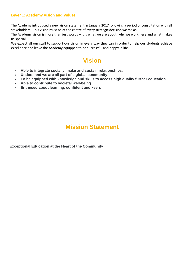#### **Lever 1: Academy Vision and Values**

The Academy introduced a new vision statement in January 2017 following a period of consultation with all stakeholders. This vision must be at the centre of every strategic decision we make.

The Academy vision is more than just words – it is what we are about, why we work here and what makes us special.

We expect all our staff to support our vision in every way they can in order to help our students achieve excellence and leave the Academy equipped to be successful and happy in life.

# **Vision**

- **Able to integrate socially, make and sustain relationships.**
- **Understand we are all part of a global community**
- **To be equipped with knowledge and skills to access high quality further education.**
- **Able to contribute to societal well-being**
- **Enthused about learning, confident and keen.**

# **Mission Statement**

**Exceptional Education at the Heart of the Community**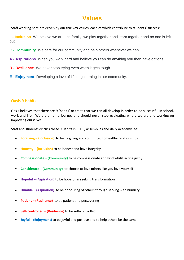# **Values**

Staff working here are driven by our **five key values**, each of which contribute to students' success:

**I – Inclusion**. We believe we are one family: we play together and learn together and no one is left out.

- **C - Community**. We care for our community and help others whenever we can.
- **A - Aspirations**. When you work hard and believe you can do anything you then have options.
- **R - Resilience**. We never stop trying even when it gets tough.
- **E - Enjoyment**. Developing a love of lifelong learning in our community.

# **Oasis 9 Habits**

 $\epsilon$ 

Oasis believes that there are 9 'habits' or traits that we can all develop in order to be successful in school, work and life. We are all on a journey and should never stop evaluating where we are and working on improving ourselves.

Staff and students discuss these 9 Habits in PSHE, Assemblies and daily Academy life:

- **Forgiving – (Inclusion)** to be forgiving and committed to healthy relationships
- **Honesty (Inclusion)** to be honest and have integrity
- **Compassionate – (Community)** to be compassionate and kind whilst acting justly
- **Considerate – (Community)** to choose to love others like you love yourself
- **Hopeful – (Aspiration)** to be hopeful in seeking transformation
- **Humble – (Aspiration)** to be honouring of others through serving with humility
- **Patient – (Resilience)** to be patient and persevering
- **Self-controlled – (Resilience)** to be self-controlled
- **Joyful – (Enjoyment)** to be joyful and positive and to help others be the same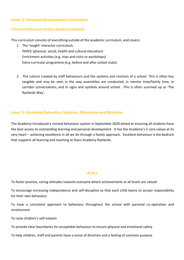# **Lever 2: Personal Development Curriculum**

#### *Character Education at Oasis Academy Ryelands*

This curriculum consists of everything outside of the academic curriculum, and covers:

- 1. The 'taught' character curriculum:
- $\sim$  PSHCE (physical, social, health and cultural education)
- Enrichment activities (e.g. trips and visits or workshops)
- Extra-curricular programme (e.g. before and after school clubs)
- 2. The culture created by staff behaviours and the systems and routines of a school This is often less tangible and may be seen in the way assemblies are conducted, in mentor time/family time, in corridor conversations, and in signs and symbols around school. This is often summed up as 'The Ryelands Way'.

## **Lever 3: Academy Behaviour Systems, Structures and Routines**

The Academy introduced a revised behaviour system in September 2020 aimed at ensuring all students have the best access to outstanding learning and personal development. It has the Academy's 5 core values at its very heart – achieving excellence in all we do through a family approach. Excellent behaviour is the bedrock that supports all learning and teaching at Oasis Academy Ryelands.

#### **Aims**

To foster positive, caring attitudes towards everyone where achievements at all levels are valued

To encourage increasing independence and self-discipline so that each child learns to accept responsibility for their own behaviour

To have a consistent approach to behaviour throughout the school with parental co-operation and involvement

To raise children's self-esteem

To provide clear boundaries for acceptable behaviour to ensure physical and emotional safety

To help children, staff and parents have a sense of direction and a feeling of common purpose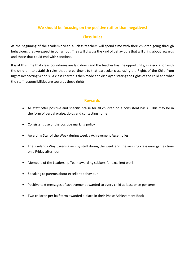# **We should be focusing on the positive rather than negatives!**

# **Class Rules**

At the beginning of the academic year, all class teachers will spend time with their children going through behaviours that we expect in our school. They will discuss the kind of behaviours that will bring about rewards and those that could end with sanctions.

It is at this time that clear boundaries are laid down and the teacher has the opportunity, in association with the children, to establish rules that are pertinent to that particular class using the Rights of the Child from Rights Respecting Schools. A class charter is then made and displayed stating the rights of the child and what the staff responsibilities are towards these rights.

#### **Rewards**

- All staff offer positive and specific praise for all children on a consistent basis. This may be in the form of verbal praise, dojos and contacting home.
- Consistent use of the positive marking policy
- Awarding Star of the Week during weekly Achievement Assemblies
- The Ryelands Way tokens given by staff during the week and the winning class earn games time on a Friday afternoon
- Members of the Leadership Team awarding stickers for excellent work
- Speaking to parents about excellent behaviour
- Positive text messages of achievement awarded to every child at least once per term
- Two children per half term awarded a place in their Phase Achievement Book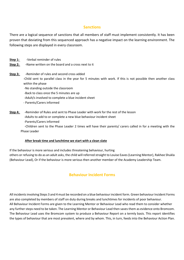#### **Sanctions**

There are a logical sequence of sanctions that all members of staff must implement consistently. It has been proven that deviating from this sequenced approach has a negative impact on the learning environment. The following steps are displayed in every classroom.

- **Step 1:** -Verbal reminder of rules
- **Step 2:** -Name written on the board and a cross next to it
- **Step 3:** -Reminder of rules and second cross added

-Child sent to parallel class in the year for 5 minutes with work. If this is not possible then another class within the phase

- -No standing outside the classroom
- -Back to class once the 5 minutes are up
- -Adult/s involved to complete a blue incident sheet
- Parents/Carers informed
- **Step 4: -**Reminder of Rules and sent to Phase Leader with work for the rest of the lesson
	- -Adults to add to or complete a new blue behaviour incident sheet
	- -Parents/Carers informed

 -Children sent to the Phase Leader 2 times will have their parents/ carers called in for a meeting with the Phase Leader

#### **After break time and lunchtime we start with a clean slate**

If the behaviour is more serious and includes threatening behaviour, hurting others or refusing to do as an adult asks, the child will referred straight to Louise Eaves (Learning Mentor), Rakhee Shukla (Behaviour Lead), Or if the behaviour is more serious then another member of the Academy Leadership Team.

# **Behaviour Incident Forms**

All incidents involving Steps 3 and 4 must be recorded on a blue behaviour incident form. Green behaviour Incident Forms are also completed by members of staff on duty during breaks and lunchtimes for incidents of poor behaviour. All Behaviour Incident Forms are given to the Learning Mentor or Behaviour Lead who read them to consider whether any further steps need to be taken. The Learning Mentor or Behaviour Lead then saves them as evidence onto Bromcom. The Behaviour Lead uses the Bromcom system to produce a Behaviour Report on a termly basis. This report identifies the types of behaviour that are most prevalent, where and by whom. This, in turn, feeds into the Behaviour Action Plan.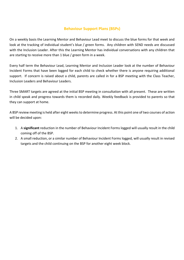# **Behaviour Support Plans (BSPs)**

On a weekly basis the Learning Mentor and Behaviour Lead meet to discuss the blue forms for that week and look at the tracking of individual student's blue / green forms. Any children with SEND needs are discussed with the Inclusion Leader. After this the Learning Mentor has individual conversations with any children that are starting to receive more than 1 blue / green form in a week.

Every half term the Behaviour Lead, Learning Mentor and Inclusion Leader look at the number of Behaviour Incident Forms that have been logged for each child to check whether there is anyone requiring additional support. If concern is raised about a child, parents are called in for a BSP meeting with the Class Teacher, Inclusion Leaders and Behaviour Leaders.

Three SMART targets are agreed at the initial BSP meeting in consultation with all present. These are written in child speak and progress towards them is recorded daily. Weekly feedback is provided to parents so that they can support at home.

A BSP review meeting is held after eight weeks to determine progress. At this point one of two courses of action will be decided upon:

- 1. A **significant** reduction in the number of Behaviour Incident Forms logged will usually result in the child coming off of the BSP.
- 2. A small reduction, or a similar number of Behaviour Incident Forms logged, will usually result in revised targets and the child continuing on the BSP for another eight week block.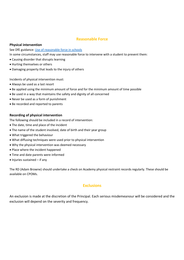#### **Reasonable Force**

#### **Physical intervention**

See DfE guidance: [Use of reasonable force in schools](https://www.gov.uk/government/publications/use-of-reasonable-force-in-schools)

In some circumstances, staff may use reasonable force to intervene with a student to prevent them:

- Causing disorder that disrupts learning
- Hurting themselves or others
- Damaging property that leads to the injury of others

Incidents of physical intervention must:

- Always be used as a last resort
- Be applied using the minimum amount of force and for the minimum amount of time possible
- Be used in a way that maintains the safety and dignity of all concerned
- Never be used as a form of punishment
- Be recorded and reported to parents

#### **Recording of physical intervention**

The following should be included in a record of intervention:

- The date, time and place of the incident
- The name of the student involved, date of birth and their year group
- What triggered the behaviour
- What diffusing techniques were used prior to physical intervention
- Why the physical intervention was deemed necessary
- Place where the incident happened
- Time and date parents were informed
- Injuries sustained if any

The RD (Adam Browne) should undertake a check on Academy physical restraint records regularly. These should be available on CPOMs.

## **Exclusions**

An exclusion is made at the discretion of the Principal. Each serious misdemeanour will be considered and the exclusion will depend on the severity and frequency.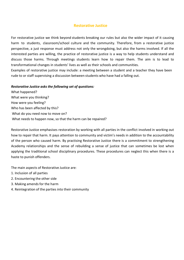#### **Restorative Justice**

For restorative justice we think beyond students breaking our rules but also the wider impact of it causing harm to students, classroom/school culture and the community. Therefore, from a restorative justice perspective, a just response must address not only the wrongdoing, but also the harms involved. If all the interested parties are willing, the practice of restorative justice is a way to help students understand and discuss those harms. Through meetings students learn how to repair them. The aim is to lead to transformational changes in students' lives as well as their schools and communities.

Examples of restorative justice may include: a meeting between a student and a teacher they have been rude to or staff supervising a discussion between students who have had a falling out.

#### *Restorative Justice asks the following set of questions:*

What happened? What were you thinking? How were you feeling? Who has been affected by this? What do you need now to move on? What needs to happen now, so that the harm can be repaired?

Restorative Justice emphasises restoration by working with all parties in the conflict involved in working out how to repair that harm. It pays attention to community and victim's needs in addition to the accountability of the person who caused harm. By practising Restorative Justice there is a commitment to strengthening Academy relationships and the sense of rebuilding a sense of justice that can sometimes be lost when applying the traditional school disciplinary procedures. These procedures can neglect this when there is a haste to punish offenders.

The main aspects of Restorative Justice are:

- 1. Inclusion of all parties
- 2. Encountering the other side
- 3. Making amends for the harm
- 4. Reintegration of the parties into their community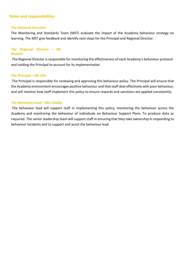## **Roles and responsibilities**

#### *The National Directors*

The Monitoring and Standards Team (MST) evaluate the impact of the Academy behaviour strategy on learning. The MST give feedback and identify next steps for the Principal and Regional Director.

#### *The Regional Director – Mr Browne*

The Regional Director is responsible for monitoring the effectiveness of each Academy's behaviour protocol and holding the Principal to account for its implementation

#### *The Principal – Mr Lillo*

The Principal is responsible for reviewing and approving this behaviour policy. The Principal will ensure that the Academy environment encourages positive behaviour and that staff deal effectively with poor behaviour, and will monitor how staff implement this policy to ensure rewards and sanctions are applied consistently.

#### *The Behaviour Lead – Mrs Shukla*

The behaviour lead will support staff in implementing this policy, monitoring the behaviour across the Academy and monitoring the behaviour of individuals on Behaviour Support Plans. To produce data as required. The senior leadership team will support staff in ensuring that they take ownership in responding to behaviour incidents and to support and assist the behaviour lead.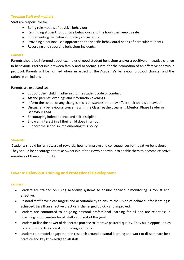#### *Teaching Staff and mentors*

Staff are responsible for:

- Being role models of positive behaviour
- Reminding students of positive behaviours and the how rules keep us safe
- Implementing the behaviour policy consistently
- Providing a personalised approach to the specific behavioural needs of particular students
- Recording and reporting behaviour incidents.

#### *Parents*

Parents should be informed about examples of good student behaviour and/or a positive or negative change in behaviour. Partnership between family and Academy is vital for the promotion of an effective behaviour protocol. Parents will be notified when an aspect of the Academy's behaviour protocol changes and the rationale behind this.

Parents are expected to:

- Support their child in adhering to the student code of conduct
- Attend parents' evenings and information evenings
- Inform the school of any changes in circumstances that may affect their child's behaviour
- Discuss any behavioural concerns with the Class Teacher, Learning Mentor, Phase Leader or Behaviour Lead
- Encouraging independence and self-discipline
- Show an interest in all their child does in school
- Support the school in implementing this policy

#### *Students*

Students should be fully aware of rewards, how to improve and consequences for negative behaviour. They should be encouraged to take ownership of their own behaviour to enable them to become effective members of their community.

# **Lever 4: Behaviour Training and Professional Development**

#### *Leaders*

- Leaders are trained on using Academy systems to ensure behaviour monitoring is robust and effective.
- Pastoral staff have clear targets and accountability to ensure the vision of behaviour for learning is achieved. Less than effective practice is challenged quickly and improved.
- Leaders are committed to on-going pastoral professional learning for all and are relentless in providing opportunities for all staff in pursuit of this goal.
- Leaders utilise the power of deliberate practice to improve pastoral quality. They build opportunities for staff to practise core skills on a regular basis.
- Leaders role-model engagement in research around pastoral learning and work to disseminate best practice and key knowledge to all staff.